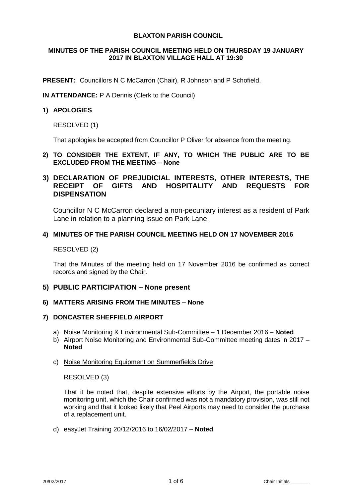## **BLAXTON PARISH COUNCIL**

# **MINUTES OF THE PARISH COUNCIL MEETING HELD ON THURSDAY 19 JANUARY 2017 IN BLAXTON VILLAGE HALL AT 19:30**

**PRESENT:** Councillors N C McCarron (Chair), R Johnson and P Schofield.

**IN ATTENDANCE:** P A Dennis (Clerk to the Council)

## **1) APOLOGIES**

RESOLVED (1)

That apologies be accepted from Councillor P Oliver for absence from the meeting.

## **2) TO CONSIDER THE EXTENT, IF ANY, TO WHICH THE PUBLIC ARE TO BE EXCLUDED FROM THE MEETING – None**

# **3) DECLARATION OF PREJUDICIAL INTERESTS, OTHER INTERESTS, THE RECEIPT OF GIFTS AND HOSPITALITY AND REQUESTS FOR DISPENSATION**

Councillor N C McCarron declared a non-pecuniary interest as a resident of Park Lane in relation to a planning issue on Park Lane.

### **4) MINUTES OF THE PARISH COUNCIL MEETING HELD ON 17 NOVEMBER 2016**

RESOLVED (2)

That the Minutes of the meeting held on 17 November 2016 be confirmed as correct records and signed by the Chair.

# **5) PUBLIC PARTICIPATION – None present**

### **6) MATTERS ARISING FROM THE MINUTES – None**

### **7) DONCASTER SHEFFIELD AIRPORT**

- a) Noise Monitoring & Environmental Sub-Committee 1 December 2016 **Noted**
- b) Airport Noise Monitoring and Environmental Sub-Committee meeting dates in 2017 **Noted**

### c) Noise Monitoring Equipment on Summerfields Drive

RESOLVED (3)

That it be noted that, despite extensive efforts by the Airport, the portable noise monitoring unit, which the Chair confirmed was not a mandatory provision, was still not working and that it looked likely that Peel Airports may need to consider the purchase of a replacement unit.

d) easyJet Training 20/12/2016 to 16/02/2017 – **Noted**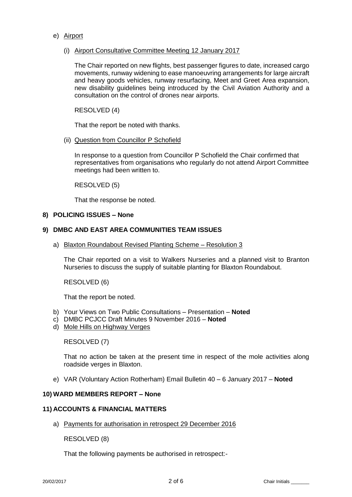# e) Airport

(i) Airport Consultative Committee Meeting 12 January 2017

The Chair reported on new flights, best passenger figures to date, increased cargo movements, runway widening to ease manoeuvring arrangements for large aircraft and heavy goods vehicles, runway resurfacing, Meet and Greet Area expansion, new disability guidelines being introduced by the Civil Aviation Authority and a consultation on the control of drones near airports.

RESOLVED (4)

That the report be noted with thanks.

(ii) Question from Councillor P Schofield

In response to a question from Councillor P Schofield the Chair confirmed that representatives from organisations who regularly do not attend Airport Committee meetings had been written to.

RESOLVED (5)

That the response be noted.

## **8) POLICING ISSUES – None**

## **9) DMBC AND EAST AREA COMMUNITIES TEAM ISSUES**

a) Blaxton Roundabout Revised Planting Scheme – Resolution 3

The Chair reported on a visit to Walkers Nurseries and a planned visit to Branton Nurseries to discuss the supply of suitable planting for Blaxton Roundabout.

RESOLVED (6)

That the report be noted.

- b) Your Views on Two Public Consultations Presentation **Noted**
- c) DMBC PCJCC Draft Minutes 9 November 2016 **Noted**
- d) Mole Hills on Highway Verges

RESOLVED (7)

That no action be taken at the present time in respect of the mole activities along roadside verges in Blaxton.

e) VAR (Voluntary Action Rotherham) Email Bulletin 40 – 6 January 2017 – **Noted**

### **10) WARD MEMBERS REPORT – None**

### **11) ACCOUNTS & FINANCIAL MATTERS**

a) Payments for authorisation in retrospect 29 December 2016

RESOLVED (8)

That the following payments be authorised in retrospect:-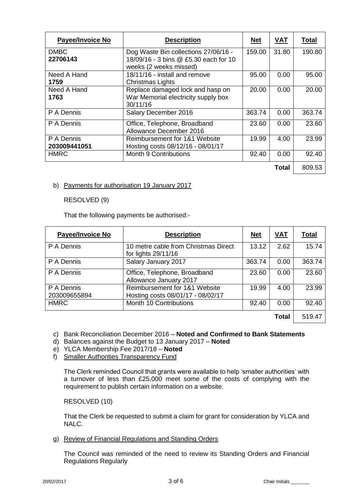| <b>Payee/Invoice No</b> | <b>Description</b>                                              | <b>Net</b> | <b>VAT</b> | <b>Total</b> |
|-------------------------|-----------------------------------------------------------------|------------|------------|--------------|
| <b>DMBC</b>             | Dog Waste Bin collections 27/06/16 -                            | 159.00     | 31.80      | 190.80       |
| 22706143                | 18/09/16 - 3 bins @ £5.30 each for 10<br>weeks (2 weeks missed) |            |            |              |
| Need A Hand             | 18/11/16 - install and remove                                   | 95.00      | 0.00       | 95.00        |
| 1759                    | Christmas Lights                                                |            |            |              |
| Need A Hand             | Replace damaged lock and hasp on                                | 20.00      | 0.00       | 20.00        |
| 1763                    | War Memorial electricity supply box<br>30/11/16                 |            |            |              |
| P A Dennis              | Salary December 2016                                            | 363.74     | 0.00       | 363.74       |
| P A Dennis              | Office, Telephone, Broadband<br>Allowance December 2016         | 23.60      | 0.00       | 23.60        |
| P A Dennis              | Reimbursement for 1&1 Website                                   | 19.99      | 4.00       | 23.99        |
| 203009441051            | Hosting costs 08/12/16 - 08/01/17                               |            |            |              |
| <b>HMRC</b>             | <b>Month 9 Contributions</b>                                    | 92.40      | 0.00       | 92.40        |
|                         |                                                                 |            | Total      | 809.53       |

# b) Payments for authorisation 19 January 2017

RESOLVED (9)

That the following payments be authorised:-

| Payee/Invoice No           | <b>Description</b>                                                 | <u>Net</u> | <u>VAT</u>   | <b>Total</b> |
|----------------------------|--------------------------------------------------------------------|------------|--------------|--------------|
| P A Dennis                 | 10 metre cable from Christmas Direct<br>for lights 29/11/16        | 13.12      | 2.62         | 15.74        |
| P A Dennis                 | Salary January 2017                                                | 363.74     | 0.00         | 363.74       |
| P A Dennis                 | Office, Telephone, Broadband<br>Allowance January 2017             | 23.60      | 0.00         | 23.60        |
| P A Dennis<br>203009655894 | Reimbursement for 1&1 Website<br>Hosting costs 08/01/17 - 08/02/17 | 19.99      | 4.00         | 23.99        |
| <b>HMRC</b>                | Month 10 Contributions                                             | 92.40      | 0.00         | 92.40        |
|                            |                                                                    |            | <b>Total</b> | 519.47       |

c) Bank Reconciliation December 2016 – **Noted and Confirmed to Bank Statements**

- d) Balances against the Budget to 13 January 2017 **Noted**
- e) YLCA Membership Fee 2017/18 **Noted**
- f) Smaller Authorities Transparency Fund

The Clerk reminded Council that grants were available to help 'smaller authorities' with a turnover of less than £25,000 meet some of the costs of complying with the requirement to publish certain information on a website.

RESOLVED (10)

That the Clerk be requested to submit a claim for grant for consideration by YLCA and NALC.

g) Review of Financial Regulations and Standing Orders

The Council was reminded of the need to review its Standing Orders and Financial Regulations Regularly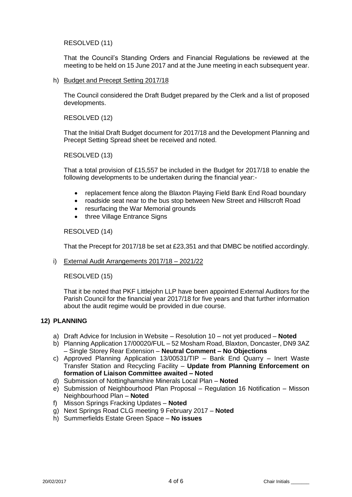# RESOLVED (11)

That the Council's Standing Orders and Financial Regulations be reviewed at the meeting to be held on 15 June 2017 and at the June meeting in each subsequent year.

h) Budget and Precept Setting 2017/18

The Council considered the Draft Budget prepared by the Clerk and a list of proposed developments.

# RESOLVED (12)

That the Initial Draft Budget document for 2017/18 and the Development Planning and Precept Setting Spread sheet be received and noted.

## RESOLVED (13)

That a total provision of £15,557 be included in the Budget for 2017/18 to enable the following developments to be undertaken during the financial year:-

- replacement fence along the Blaxton Playing Field Bank End Road boundary
- roadside seat near to the bus stop between New Street and Hillscroft Road
- resurfacing the War Memorial grounds
- three Village Entrance Signs

### RESOLVED (14)

That the Precept for 2017/18 be set at £23,351 and that DMBC be notified accordingly.

### i) External Audit Arrangements 2017/18 – 2021/22

# RESOLVED (15)

That it be noted that PKF Littlejohn LLP have been appointed External Auditors for the Parish Council for the financial year 2017/18 for five years and that further information about the audit regime would be provided in due course.

# **12) PLANNING**

- a) Draft Advice for Inclusion in Website Resolution 10 not yet produced **Noted**
- b) Planning Application 17/00020/FUL 52 Mosham Road, Blaxton, Doncaster, DN9 3AZ – Single Storey Rear Extension – **Neutral Comment – No Objections**
- c) Approved Planning Application 13/00531/TIP Bank End Quarry Inert Waste Transfer Station and Recycling Facility – **Update from Planning Enforcement on formation of Liaison Committee awaited – Noted**
- d) Submission of Nottinghamshire Minerals Local Plan **Noted**
- e) Submission of Neighbourhood Plan Proposal Regulation 16 Notification Misson Neighbourhood Plan – **Noted**
- f) Misson Springs Fracking Updates **Noted**
- g) Next Springs Road CLG meeting 9 February 2017 **Noted**
- h) Summerfields Estate Green Space **No issues**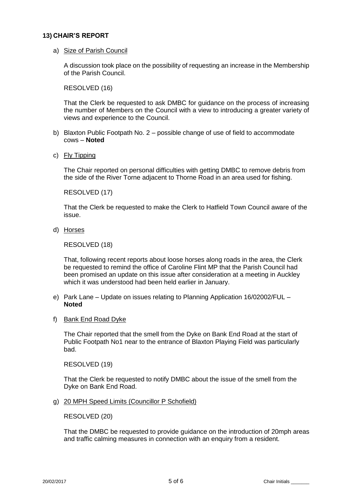## **13) CHAIR'S REPORT**

a) Size of Parish Council

A discussion took place on the possibility of requesting an increase in the Membership of the Parish Council.

RESOLVED (16)

That the Clerk be requested to ask DMBC for guidance on the process of increasing the number of Members on the Council with a view to introducing a greater variety of views and experience to the Council.

- b) Blaxton Public Footpath No. 2 possible change of use of field to accommodate cows – **Noted**
- c) Fly Tipping

The Chair reported on personal difficulties with getting DMBC to remove debris from the side of the River Torne adjacent to Thorne Road in an area used for fishing.

RESOLVED (17)

That the Clerk be requested to make the Clerk to Hatfield Town Council aware of the issue.

d) Horses

RESOLVED (18)

That, following recent reports about loose horses along roads in the area, the Clerk be requested to remind the office of Caroline Flint MP that the Parish Council had been promised an update on this issue after consideration at a meeting in Auckley which it was understood had been held earlier in January.

- e) Park Lane Update on issues relating to Planning Application 16/02002/FUL **Noted**
- f) Bank End Road Dyke

The Chair reported that the smell from the Dyke on Bank End Road at the start of Public Footpath No1 near to the entrance of Blaxton Playing Field was particularly bad.

RESOLVED (19)

That the Clerk be requested to notify DMBC about the issue of the smell from the Dyke on Bank End Road.

g) 20 MPH Speed Limits (Councillor P Schofield)

RESOLVED (20)

That the DMBC be requested to provide guidance on the introduction of 20mph areas and traffic calming measures in connection with an enquiry from a resident.